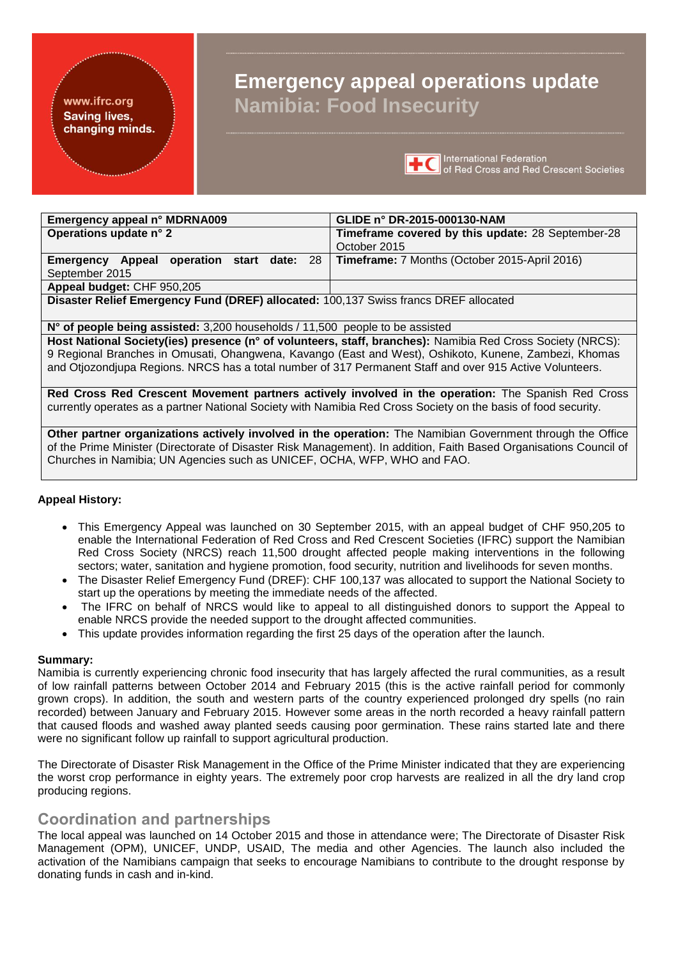#### www.ifrc.org **Saving lives,** changing minds.

# **Emergency appeal operations update Namibia: Food Insecurity**



**TC** International Federation<br> **TC** of Red Cross and Red Crescent Societies

| Emergency appeal n° MDRNA009                                                         | GLIDE n° DR-2015-000130-NAM                          |  |  |  |  |
|--------------------------------------------------------------------------------------|------------------------------------------------------|--|--|--|--|
| Operations update n° 2                                                               | Timeframe covered by this update: 28 September-28    |  |  |  |  |
|                                                                                      | October 2015                                         |  |  |  |  |
| <b>Emergency Appeal operation start date: 28</b>                                     | <b>Timeframe:</b> 7 Months (October 2015-April 2016) |  |  |  |  |
| September 2015                                                                       |                                                      |  |  |  |  |
| Appeal budget: CHF 950,205                                                           |                                                      |  |  |  |  |
| Disaster Relief Emergency Fund (DREF) allocated: 100,137 Swiss francs DREF allocated |                                                      |  |  |  |  |
|                                                                                      |                                                      |  |  |  |  |

**N° of people being assisted:** 3,200 households / 11,500 people to be assisted

**Host National Society(ies) presence (n° of volunteers, staff, branches):** Namibia Red Cross Society (NRCS): 9 Regional Branches in Omusati, Ohangwena, Kavango (East and West), Oshikoto, Kunene, Zambezi, Khomas and Otjozondjupa Regions. NRCS has a total number of 317 Permanent Staff and over 915 Active Volunteers.

**Red Cross Red Crescent Movement partners actively involved in the operation:** The Spanish Red Cross currently operates as a partner National Society with Namibia Red Cross Society on the basis of food security.

**Other partner organizations actively involved in the operation:** The Namibian Government through the Office of the Prime Minister (Directorate of Disaster Risk Management). In addition, Faith Based Organisations Council of Churches in Namibia; UN Agencies such as UNICEF, OCHA, WFP, WHO and FAO.

#### **Appeal History:**

- This [Emergency Appeal](http://www.ifrc.org/en/publications-and-reports/appeals/?ac=&at=0&c=&co=SP163NA&dt=1&f=&re=&t=&ti=&zo=) was launched on 30 September 2015, with an appeal budget of CHF 950,205 to enable the International Federation of Red Cross and Red Crescent Societies (IFRC) support the Namibian Red Cross Society (NRCS) reach 11,500 drought affected people making interventions in the following sectors; water, sanitation and hygiene promotion, food security, nutrition and livelihoods for seven months.
- The Disaster Relief Emergency Fund (DREF): CHF 100,137 was allocated to support the National Society to start up the operations by meeting the immediate needs of the affected.
- The IFRC on behalf of NRCS would like to appeal to all distinguished donors to support the Appeal to enable NRCS provide the needed support to the drought affected communities.
- This update provides information regarding the first 25 days of the operation after the launch.

#### **Summary:**

Namibia is currently experiencing chronic food insecurity that has largely affected the rural communities, as a result of low rainfall patterns between October 2014 and February 2015 (this is the active rainfall period for commonly grown crops). In addition, the south and western parts of the country experienced prolonged dry spells (no rain recorded) between January and February 2015. However some areas in the north recorded a heavy rainfall pattern that caused floods and washed away planted seeds causing poor germination. These rains started late and there were no significant follow up rainfall to support agricultural production.

The Directorate of Disaster Risk Management in the Office of the Prime Minister indicated that they are experiencing the worst crop performance in eighty years. The extremely poor crop harvests are realized in all the dry land crop producing regions.

### **Coordination and partnerships**

The local appeal was launched on 14 October 2015 and those in attendance were; The Directorate of Disaster Risk Management (OPM), UNICEF, UNDP, USAID, The media and other Agencies. The launch also included the activation of the Namibians campaign that seeks to encourage Namibians to contribute to the drought response by donating funds in cash and in-kind.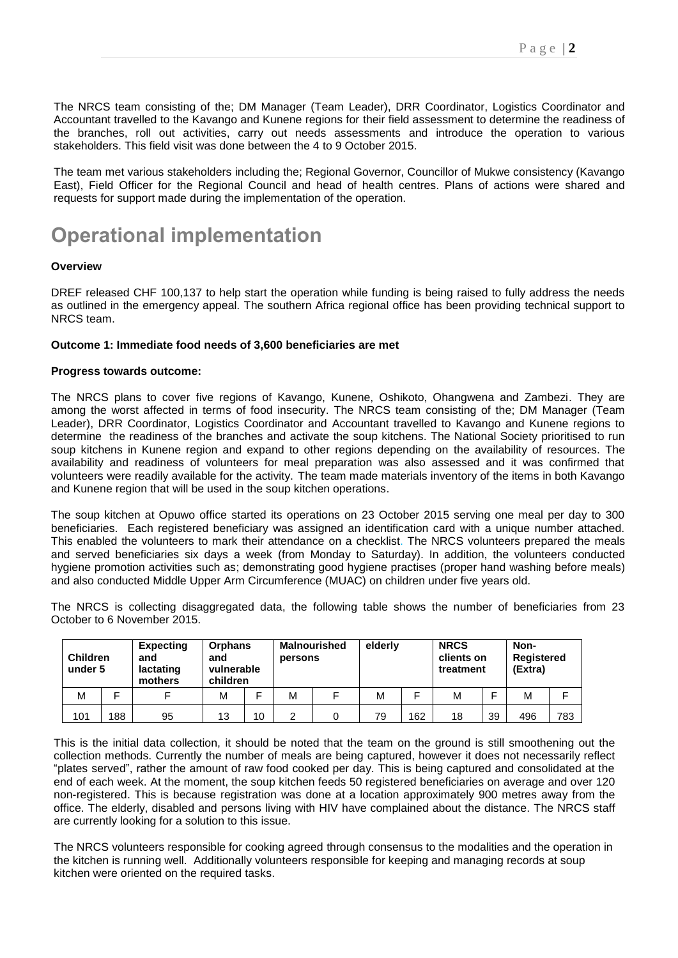The NRCS team consisting of the; DM Manager (Team Leader), DRR Coordinator, Logistics Coordinator and Accountant travelled to the Kavango and Kunene regions for their field assessment to determine the readiness of the branches, roll out activities, carry out needs assessments and introduce the operation to various stakeholders. This field visit was done between the 4 to 9 October 2015.

The team met various stakeholders including the; Regional Governor, Councillor of Mukwe consistency (Kavango East), Field Officer for the Regional Council and head of health centres. Plans of actions were shared and requests for support made during the implementation of the operation.

# **Operational implementation**

#### **Overview**

DREF released CHF 100,137 to help start the operation while funding is being raised to fully address the needs as outlined in the emergency appeal. The southern Africa regional office has been providing technical support to NRCS team.

#### **Outcome 1: Immediate food needs of 3,600 beneficiaries are met**

#### **Progress towards outcome:**

The NRCS plans to cover five regions of Kavango, Kunene, Oshikoto, Ohangwena and Zambezi. They are among the worst affected in terms of food insecurity. The NRCS team consisting of the; DM Manager (Team Leader), DRR Coordinator, Logistics Coordinator and Accountant travelled to Kavango and Kunene regions to determine the readiness of the branches and activate the soup kitchens. The National Society prioritised to run soup kitchens in Kunene region and expand to other regions depending on the availability of resources. The availability and readiness of volunteers for meal preparation was also assessed and it was confirmed that volunteers were readily available for the activity. The team made materials inventory of the items in both Kavango and Kunene region that will be used in the soup kitchen operations.

The soup kitchen at Opuwo office started its operations on 23 October 2015 serving one meal per day to 300 beneficiaries. Each registered beneficiary was assigned an identification card with a unique number attached. This enabled the volunteers to mark their attendance on a checklist. The NRCS volunteers prepared the meals and served beneficiaries six days a week (from Monday to Saturday). In addition, the volunteers conducted hygiene promotion activities such as; demonstrating good hygiene practises (proper hand washing before meals) and also conducted Middle Upper Arm Circumference (MUAC) on children under five years old.

The NRCS is collecting disaggregated data, the following table shows the number of beneficiaries from 23 October to 6 November 2015.

| <b>Children</b><br>under 5 |    | <b>Expecting</b><br>and<br>lactating<br>mothers | <b>Orphans</b><br>and<br>vulnerable<br>children |    | persons | <b>Malnourished</b> | elderly |     | <b>NRCS</b><br>clients on<br>treatment |    | Non-<br><b>Registered</b><br>(Extra) |     |
|----------------------------|----|-------------------------------------------------|-------------------------------------------------|----|---------|---------------------|---------|-----|----------------------------------------|----|--------------------------------------|-----|
| M                          | ⊏  |                                                 | М                                               |    | М       |                     | M       |     | М                                      |    | M                                    | ⊏   |
| 101                        | 88 | 95                                              | 13                                              | 10 | ົ       |                     | 79      | 162 | 18                                     | 39 | 496                                  | 783 |

This is the initial data collection, it should be noted that the team on the ground is still smoothening out the collection methods. Currently the number of meals are being captured, however it does not necessarily reflect "plates served", rather the amount of raw food cooked per day. This is being captured and consolidated at the end of each week. At the moment, the soup kitchen feeds 50 registered beneficiaries on average and over 120 non-registered. This is because registration was done at a location approximately 900 metres away from the office. The elderly, disabled and persons living with HIV have complained about the distance. The NRCS staff are currently looking for a solution to this issue.

The NRCS volunteers responsible for cooking agreed through consensus to the modalities and the operation in the kitchen is running well. Additionally volunteers responsible for keeping and managing records at soup kitchen were oriented on the required tasks.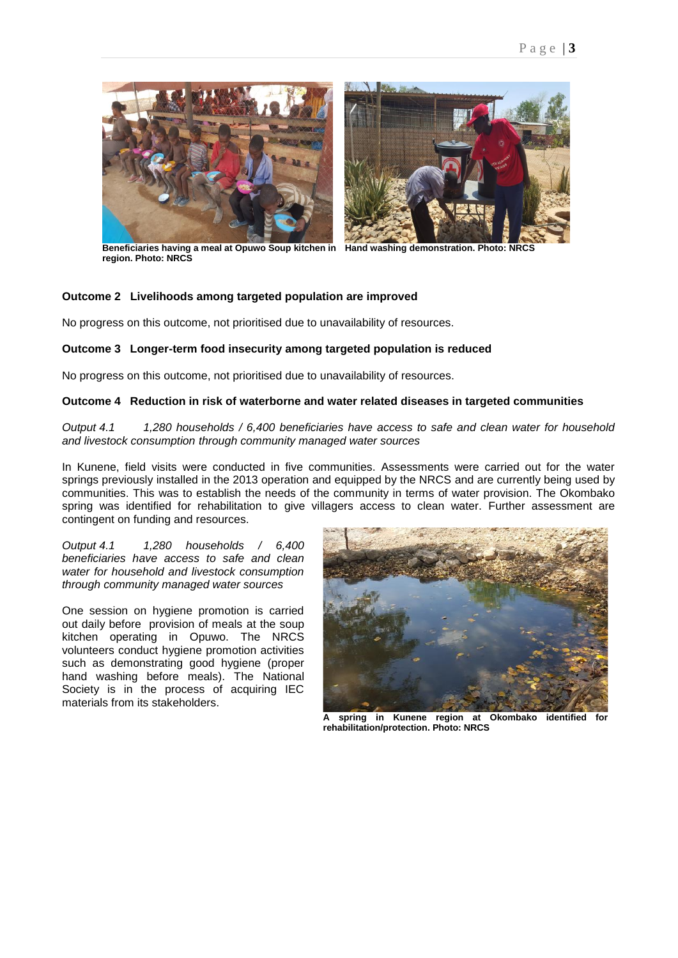

**Beneficiaries having a meal at Opuwo Soup kitchen in Hand washing demonstration. Photo: NRCS region. Photo: NRCS**

#### **Outcome 2 Livelihoods among targeted population are improved**

No progress on this outcome, not prioritised due to unavailability of resources.

#### **Outcome 3 Longer-term food insecurity among targeted population is reduced**

No progress on this outcome, not prioritised due to unavailability of resources.

#### **Outcome 4 Reduction in risk of waterborne and water related diseases in targeted communities**

*Output 4.1 1,280 households / 6,400 beneficiaries have access to safe and clean water for household and livestock consumption through community managed water sources*

In Kunene, field visits were conducted in five communities. Assessments were carried out for the water springs previously installed in the 2013 operation and equipped by the NRCS and are currently being used by communities. This was to establish the needs of the community in terms of water provision. The Okombako spring was identified for rehabilitation to give villagers access to clean water. Further assessment are contingent on funding and resources.

*Output 4.1 1,280 households / 6,400 beneficiaries have access to safe and clean water for household and livestock consumption through community managed water sources*

One session on hygiene promotion is carried out daily before provision of meals at the soup kitchen operating in Opuwo. The NRCS volunteers conduct hygiene promotion activities such as demonstrating good hygiene (proper hand washing before meals). The National Society is in the process of acquiring IEC materials from its stakeholders.



**A spring in Kunene region at Okombako identified for rehabilitation/protection. Photo: NRCS**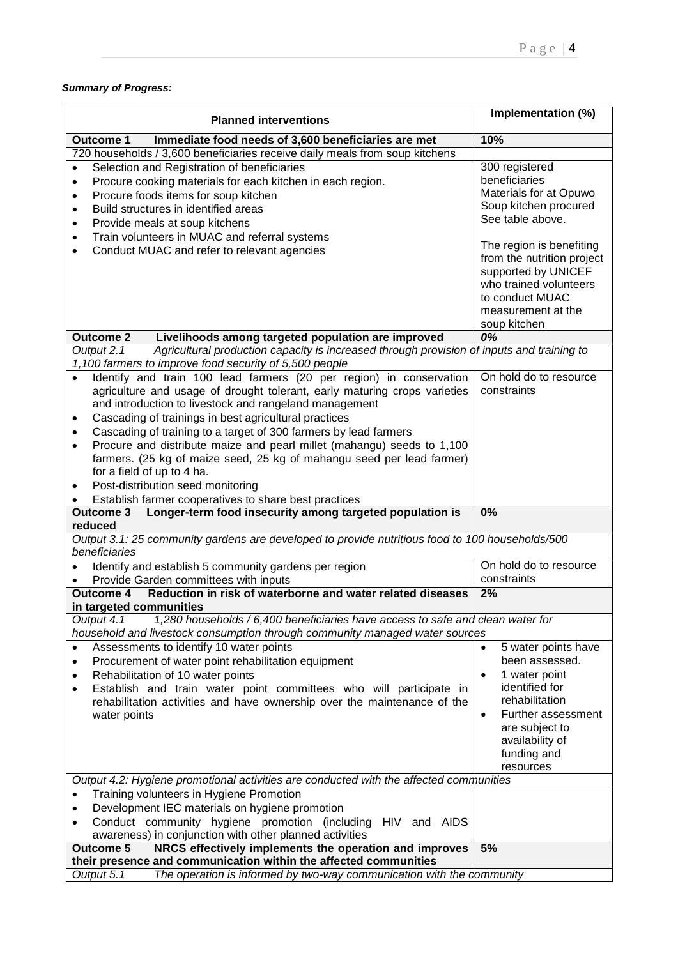#### *Summary of Progress:*

| <b>Planned interventions</b>                                                                                                                                                                                                                                                                                                                                                                                                                                                                                                                                                                                                                                                                                                                                                                                                                    | Implementation (%)                                                                                                                                                                             |  |  |
|-------------------------------------------------------------------------------------------------------------------------------------------------------------------------------------------------------------------------------------------------------------------------------------------------------------------------------------------------------------------------------------------------------------------------------------------------------------------------------------------------------------------------------------------------------------------------------------------------------------------------------------------------------------------------------------------------------------------------------------------------------------------------------------------------------------------------------------------------|------------------------------------------------------------------------------------------------------------------------------------------------------------------------------------------------|--|--|
| <b>Outcome 1</b><br>Immediate food needs of 3,600 beneficiaries are met                                                                                                                                                                                                                                                                                                                                                                                                                                                                                                                                                                                                                                                                                                                                                                         | 10%                                                                                                                                                                                            |  |  |
| 720 households / 3,600 beneficiaries receive daily meals from soup kitchens                                                                                                                                                                                                                                                                                                                                                                                                                                                                                                                                                                                                                                                                                                                                                                     |                                                                                                                                                                                                |  |  |
| Selection and Registration of beneficiaries<br>$\bullet$<br>Procure cooking materials for each kitchen in each region.<br>$\bullet$<br>Procure foods items for soup kitchen<br>$\bullet$<br>Build structures in identified areas<br>$\bullet$<br>Provide meals at soup kitchens<br>$\bullet$<br>Train volunteers in MUAC and referral systems<br>$\bullet$<br>Conduct MUAC and refer to relevant agencies<br>$\bullet$                                                                                                                                                                                                                                                                                                                                                                                                                          | 300 registered<br>beneficiaries<br>Materials for at Opuwo<br>Soup kitchen procured<br>See table above.<br>The region is benefiting<br>from the nutrition project                               |  |  |
|                                                                                                                                                                                                                                                                                                                                                                                                                                                                                                                                                                                                                                                                                                                                                                                                                                                 | supported by UNICEF<br>who trained volunteers<br>to conduct MUAC<br>measurement at the<br>soup kitchen                                                                                         |  |  |
| Livelihoods among targeted population are improved<br><b>Outcome 2</b>                                                                                                                                                                                                                                                                                                                                                                                                                                                                                                                                                                                                                                                                                                                                                                          | 0%                                                                                                                                                                                             |  |  |
| Agricultural production capacity is increased through provision of inputs and training to<br>Output 2.1<br>1,100 farmers to improve food security of 5,500 people<br>Identify and train 100 lead farmers (20 per region) in conservation<br>agriculture and usage of drought tolerant, early maturing crops varieties<br>and introduction to livestock and rangeland management<br>Cascading of trainings in best agricultural practices<br>$\bullet$<br>Cascading of training to a target of 300 farmers by lead farmers<br>$\bullet$<br>Procure and distribute maize and pearl millet (mahangu) seeds to 1,100<br>$\bullet$<br>farmers. (25 kg of maize seed, 25 kg of mahangu seed per lead farmer)<br>for a field of up to 4 ha.<br>Post-distribution seed monitoring<br>$\bullet$<br>Establish farmer cooperatives to share best practices | On hold do to resource<br>constraints                                                                                                                                                          |  |  |
| Longer-term food insecurity among targeted population is<br><b>Outcome 3</b>                                                                                                                                                                                                                                                                                                                                                                                                                                                                                                                                                                                                                                                                                                                                                                    | 0%                                                                                                                                                                                             |  |  |
| reduced                                                                                                                                                                                                                                                                                                                                                                                                                                                                                                                                                                                                                                                                                                                                                                                                                                         |                                                                                                                                                                                                |  |  |
| Output 3.1: 25 community gardens are developed to provide nutritious food to 100 households/500<br>beneficiaries                                                                                                                                                                                                                                                                                                                                                                                                                                                                                                                                                                                                                                                                                                                                |                                                                                                                                                                                                |  |  |
| Identify and establish 5 community gardens per region                                                                                                                                                                                                                                                                                                                                                                                                                                                                                                                                                                                                                                                                                                                                                                                           | On hold do to resource                                                                                                                                                                         |  |  |
| Provide Garden committees with inputs<br>$\bullet$                                                                                                                                                                                                                                                                                                                                                                                                                                                                                                                                                                                                                                                                                                                                                                                              | constraints                                                                                                                                                                                    |  |  |
| Reduction in risk of waterborne and water related diseases<br>Outcome 4<br>in targeted communities                                                                                                                                                                                                                                                                                                                                                                                                                                                                                                                                                                                                                                                                                                                                              | 2%                                                                                                                                                                                             |  |  |
| Output 4.1<br>1,280 households / 6,400 beneficiaries have access to safe and clean water for                                                                                                                                                                                                                                                                                                                                                                                                                                                                                                                                                                                                                                                                                                                                                    |                                                                                                                                                                                                |  |  |
| household and livestock consumption through community managed water sources                                                                                                                                                                                                                                                                                                                                                                                                                                                                                                                                                                                                                                                                                                                                                                     |                                                                                                                                                                                                |  |  |
| Assessments to identify 10 water points<br>$\bullet$<br>Procurement of water point rehabilitation equipment<br>$\bullet$<br>Rehabilitation of 10 water points<br>$\bullet$<br>Establish and train water point committees who will participate in<br>$\bullet$<br>rehabilitation activities and have ownership over the maintenance of the<br>water points                                                                                                                                                                                                                                                                                                                                                                                                                                                                                       | 5 water points have<br>been assessed.<br>1 water point<br>$\bullet$<br>identified for<br>rehabilitation<br>Further assessment<br>$\bullet$<br>are subject to<br>availability of<br>funding and |  |  |
|                                                                                                                                                                                                                                                                                                                                                                                                                                                                                                                                                                                                                                                                                                                                                                                                                                                 | resources                                                                                                                                                                                      |  |  |
| Output 4.2: Hygiene promotional activities are conducted with the affected communities                                                                                                                                                                                                                                                                                                                                                                                                                                                                                                                                                                                                                                                                                                                                                          |                                                                                                                                                                                                |  |  |
| Training volunteers in Hygiene Promotion<br>Development IEC materials on hygiene promotion<br>$\bullet$<br>Conduct community hygiene promotion (including HIV and AIDS<br>$\bullet$<br>awareness) in conjunction with other planned activities                                                                                                                                                                                                                                                                                                                                                                                                                                                                                                                                                                                                  |                                                                                                                                                                                                |  |  |
| NRCS effectively implements the operation and improves<br><b>Outcome 5</b><br>their presence and communication within the affected communities                                                                                                                                                                                                                                                                                                                                                                                                                                                                                                                                                                                                                                                                                                  | 5%                                                                                                                                                                                             |  |  |
| The operation is informed by two-way communication with the community<br>Output 5.1                                                                                                                                                                                                                                                                                                                                                                                                                                                                                                                                                                                                                                                                                                                                                             |                                                                                                                                                                                                |  |  |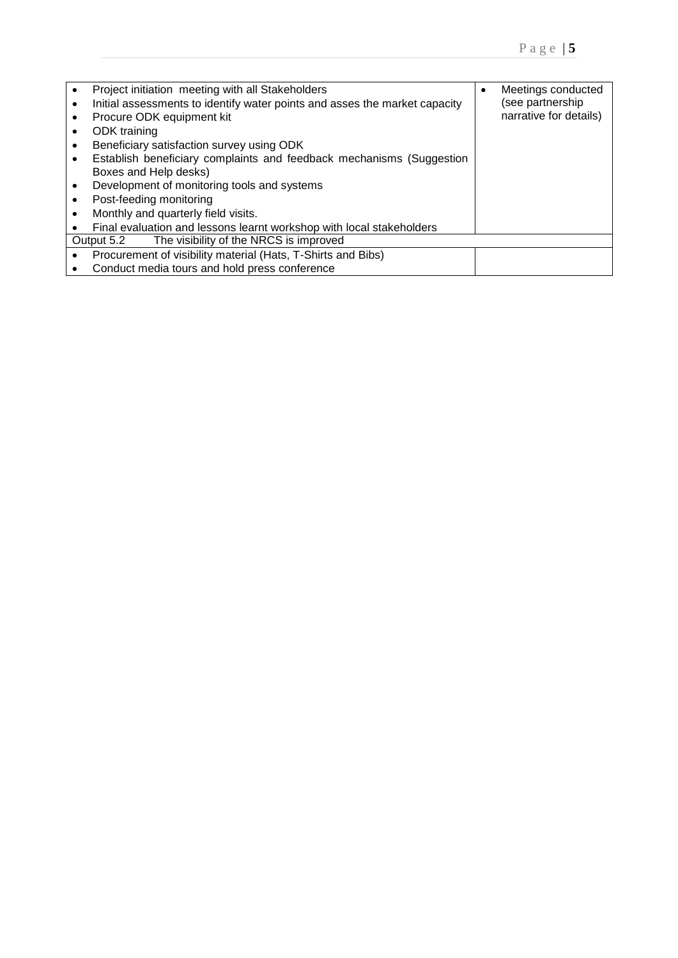|           | Project initiation meeting with all Stakeholders                           | Meetings conducted     |
|-----------|----------------------------------------------------------------------------|------------------------|
| ٠         | Initial assessments to identify water points and asses the market capacity | (see partnership       |
|           | Procure ODK equipment kit                                                  | narrative for details) |
|           | ODK training                                                               |                        |
|           | Beneficiary satisfaction survey using ODK                                  |                        |
|           | Establish beneficiary complaints and feedback mechanisms (Suggestion       |                        |
|           | Boxes and Help desks)                                                      |                        |
|           | Development of monitoring tools and systems                                |                        |
|           | Post-feeding monitoring                                                    |                        |
|           | Monthly and quarterly field visits.                                        |                        |
|           | Final evaluation and lessons learnt workshop with local stakeholders       |                        |
|           | The visibility of the NRCS is improved<br>Output 5.2                       |                        |
|           | Procurement of visibility material (Hats, T-Shirts and Bibs)               |                        |
| $\bullet$ | Conduct media tours and hold press conference                              |                        |